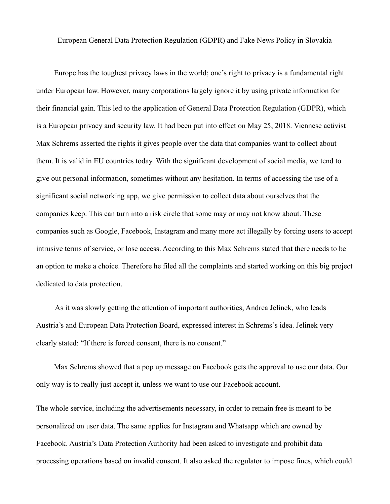European General Data Protection Regulation (GDPR) and Fake News Policy in Slovakia

Europe has the toughest privacy laws in the world; one's right to privacy is a fundamental right under European law. However, many corporations largely ignore it by using private information for their financial gain. This led to the application of General Data Protection Regulation (GDPR), which is a European privacy and security law. It had been put into effect on May 25, 2018. Viennese activist Max Schrems asserted the rights it gives people over the data that companies want to collect about them. It is valid in EU countries today. With the significant development of social media, we tend to give out personal information, sometimes without any hesitation. In terms of accessing the use of a significant social networking app, we give permission to collect data about ourselves that the companies keep. This can turn into a risk circle that some may or may not know about. These companies such as Google, Facebook, Instagram and many more act illegally by forcing users to accept intrusive terms of service, or lose access. According to this Max Schrems stated that there needs to be an option to make a choice. Therefore he filed all the complaints and started working on this big project dedicated to data protection.

 As it was slowly getting the attention of important authorities, Andrea Jelinek, who leads Austria's and European Data Protection Board, expressed interest in Schrems´s idea. Jelinek very clearly stated: "If there is forced consent, there is no consent."

Max Schrems showed that a pop up message on Facebook gets the approval to use our data. Our only way is to really just accept it, unless we want to use our Facebook account.

The whole service, including the advertisements necessary, in order to remain free is meant to be personalized on user data. The same applies for Instagram and Whatsapp which are owned by Facebook. Austria's Data Protection Authority had been asked to investigate and prohibit data processing operations based on invalid consent. It also asked the regulator to impose fines, which could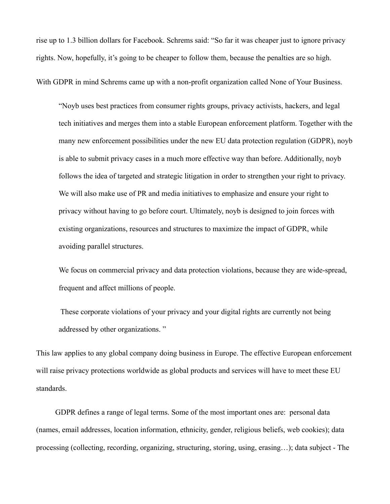rise up to 1.3 billion dollars for Facebook. Schrems said: "So far it was cheaper just to ignore privacy rights. Now, hopefully, it's going to be cheaper to follow them, because the penalties are so high.

With GDPR in mind Schrems came up with a non-profit organization called None of Your Business.

"Noyb uses best practices from consumer rights groups, privacy activists, hackers, and legal tech initiatives and merges them into a stable European enforcement platform. Together with the many new enforcement possibilities under the new EU data protection regulation (GDPR), noyb is able to submit privacy cases in a much more effective way than before. Additionally, noyb follows the idea of targeted and strategic litigation in order to strengthen your right to privacy. We will also make use of PR and media initiatives to emphasize and ensure your right to privacy without having to go before court. Ultimately, noyb is designed to join forces with existing organizations, resources and structures to maximize the impact of GDPR, while avoiding parallel structures.

We focus on commercial privacy and data protection violations, because they are wide-spread, frequent and affect millions of people.

 These corporate violations of your privacy and your digital rights are currently not being addressed by other organizations. "

This law applies to any global company doing business in Europe. The effective European enforcement will raise privacy protections worldwide as global products and services will have to meet these EU standards.

 GDPR defines a range of legal terms. Some of the most important ones are: personal data (names, email addresses, location information, ethnicity, gender, religious beliefs, web cookies); data processing (collecting, recording, organizing, structuring, storing, using, erasing…); data subject - The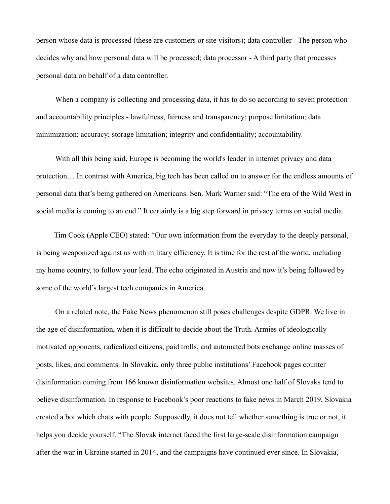person whose data is processed (these are customers or site visitors); data controller - The person who decides why and how personal data will be processed; data processor - A third party that processes personal data on behalf of a data controller.

When a company is collecting and processing data, it has to do so according to seven protection and accountability principles - lawfulness, fairness and transparency; purpose limitation; data minimization; accuracy; storage limitation; integrity and confidentiality; accountability.

 With all this being said, Europe is becoming the world's leader in internet privacy and data protection… In contrast with America, big tech has been called on to answer for the endless amounts of personal data that's being gathered on Americans. Sen. Mark Warner said: "The era of the Wild West in social media is coming to an end." It certainly is a big step forward in privacy terms on social media.

Tim Cook (Apple CEO) stated: "Our own information from the everyday to the deeply personal, is being weaponized against us with military efficiency. It is time for the rest of the world, including my home country, to follow your lead. The echo originated in Austria and now it's being followed by some of the world's largest tech companies in America.

 On a related note, the Fake News phenomenon still poses challenges despite GDPR. We live in the age of disinformation, when it is difficult to decide about the Truth. Armies of ideologically motivated opponents, radicalized citizens, paid trolls, and automated bots exchange online masses of posts, likes, and comments. In Slovakia, only three public institutions' Facebook pages counter disinformation coming from 166 known disinformation websites. Almost one half of Slovaks tend to believe disinformation. In response to Facebook's poor reactions to fake news in March 2019, Slovakia created a bot which chats with people. Supposedly, it does not tell whether something is true or not, it helps you decide yourself. "The Slovak internet faced the first large-scale disinformation campaign after the war in Ukraine started in 2014, and the campaigns have continued ever since. In Slovakia,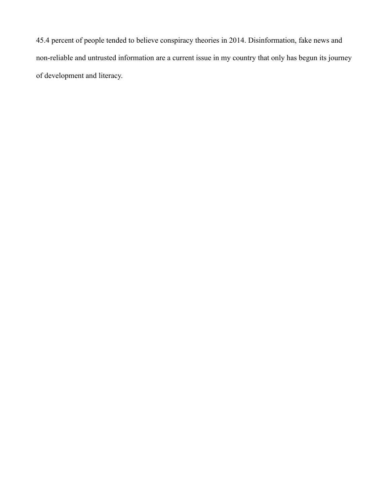45.4 percent of people tended to believe conspiracy theories in 2014. Disinformation, fake news and non-reliable and untrusted information are a current issue in my country that only has begun its journey of development and literacy.